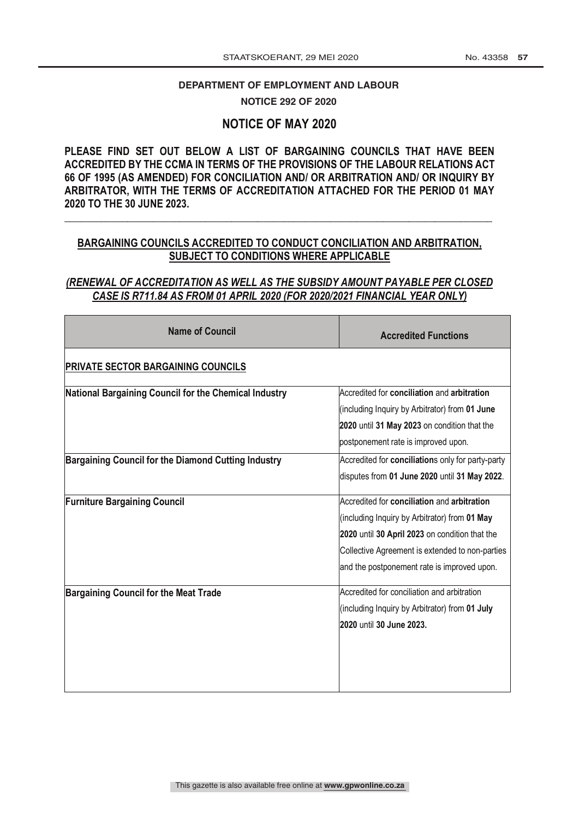# DEPARTMENT OF EMPLOYMENT AND LABOUR

**NOTICE 292 OF 2020** 

# **NOTICE OF MAY 2020**

**PLEASE FIND SET OUT BELOW A LIST OF BARGAINING COUNCILS THAT HAVE BEEN ACCREDITED BY THE CCMA IN TERMS OF THE PROVISIONS OF THE LABOUR RELATIONS ACT 66 OF 1995 (AS AMENDED) FOR CONCILIATION AND/ OR ARBITRATION AND/ OR INQUIRY BY ARBITRATOR, WITH THE TERMS OF ACCREDITATION ATTACHED FOR THE PERIOD 01 MAY 2020 TO THE 30 JUNE 2023.**

## **BARGAINING COUNCILS ACCREDITED TO CONDUCT CONCILIATION AND ARBITRATION, SUBJECT TO CONDITIONS WHERE APPLICABLE**

**\_\_\_\_\_\_\_\_\_\_\_\_\_\_\_\_\_\_\_\_\_\_\_\_\_\_\_\_\_\_\_\_\_\_\_\_\_\_\_\_\_\_\_\_\_\_\_\_\_\_\_\_\_\_\_\_\_\_\_\_\_\_\_\_\_\_\_\_\_\_\_\_\_\_\_\_\_\_\_\_\_\_**

# *(RENEWAL OF ACCREDITATION AS WELL AS THE SUBSIDY AMOUNT PAYABLE PER CLOSED CASE IS R711.84 AS FROM 01 APRIL 2020 (FOR 2020/2021 FINANCIAL YEAR ONLY)*

| <b>Name of Council</b>                                | <b>Accredited Functions</b>                       |
|-------------------------------------------------------|---------------------------------------------------|
| <b>PRIVATE SECTOR BARGAINING COUNCILS</b>             |                                                   |
| National Bargaining Council for the Chemical Industry | Accredited for conciliation and arbitration       |
|                                                       | (including Inquiry by Arbitrator) from 01 June    |
|                                                       | 2020 until 31 May 2023 on condition that the      |
|                                                       | postponement rate is improved upon.               |
| Bargaining Council for the Diamond Cutting Industry   | Accredited for conciliations only for party-party |
|                                                       | disputes from 01 June 2020 until 31 May 2022.     |
| <b>Furniture Bargaining Council</b>                   | Accredited for conciliation and arbitration       |
|                                                       | (including Inquiry by Arbitrator) from 01 May     |
|                                                       | 2020 until 30 April 2023 on condition that the    |
|                                                       | Collective Agreement is extended to non-parties   |
|                                                       | and the postponement rate is improved upon.       |
| <b>Bargaining Council for the Meat Trade</b>          | Accredited for conciliation and arbitration       |
|                                                       | (including Inquiry by Arbitrator) from 01 July    |
|                                                       | 2020 until 30 June 2023.                          |
|                                                       |                                                   |
|                                                       |                                                   |
|                                                       |                                                   |
|                                                       |                                                   |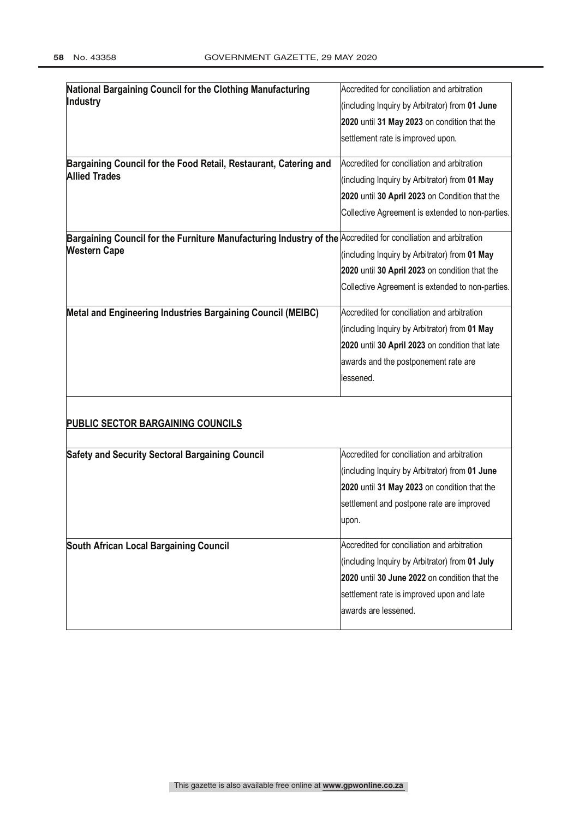| National Bargaining Council for the Clothing Manufacturing                                                     | Accredited for conciliation and arbitration      |
|----------------------------------------------------------------------------------------------------------------|--------------------------------------------------|
| Industry                                                                                                       | (including Inquiry by Arbitrator) from 01 June   |
|                                                                                                                | 2020 until 31 May 2023 on condition that the     |
|                                                                                                                | settlement rate is improved upon.                |
| Bargaining Council for the Food Retail, Restaurant, Catering and                                               | Accredited for conciliation and arbitration      |
| <b>Allied Trades</b>                                                                                           | (including Inquiry by Arbitrator) from 01 May    |
|                                                                                                                | 2020 until 30 April 2023 on Condition that the   |
|                                                                                                                | Collective Agreement is extended to non-parties. |
| Bargaining Council for the Furniture Manufacturing Industry of the Accredited for conciliation and arbitration |                                                  |
| <b>Western Cape</b>                                                                                            | (including Inquiry by Arbitrator) from 01 May    |
|                                                                                                                | 2020 until 30 April 2023 on condition that the   |
|                                                                                                                | Collective Agreement is extended to non-parties. |
| Metal and Engineering Industries Bargaining Council (MEIBC)                                                    | Accredited for conciliation and arbitration      |
|                                                                                                                | (including Inquiry by Arbitrator) from 01 May    |
|                                                                                                                | 2020 until 30 April 2023 on condition that late  |
|                                                                                                                | awards and the postponement rate are             |
|                                                                                                                | llessened.                                       |
| PUBLIC SECTOR BARGAINING COUNCILS                                                                              |                                                  |
| <b>Safety and Security Sectoral Bargaining Council</b>                                                         | Accredited for conciliation and arbitration      |
|                                                                                                                | (including Inquiry by Arbitrator) from 01 June   |
|                                                                                                                | 2020 until 31 May 2023 on condition that the     |
|                                                                                                                | settlement and postpone rate are improved        |
|                                                                                                                | upon.                                            |
| South African Local Bargaining Council                                                                         | Accredited for conciliation and arbitration      |
|                                                                                                                | (including Inquiry by Arbitrator) from 01 July   |
|                                                                                                                | 2020 until 30 June 2022 on condition that the    |
|                                                                                                                | settlement rate is improved upon and late        |
|                                                                                                                | awards are lessened.                             |
|                                                                                                                |                                                  |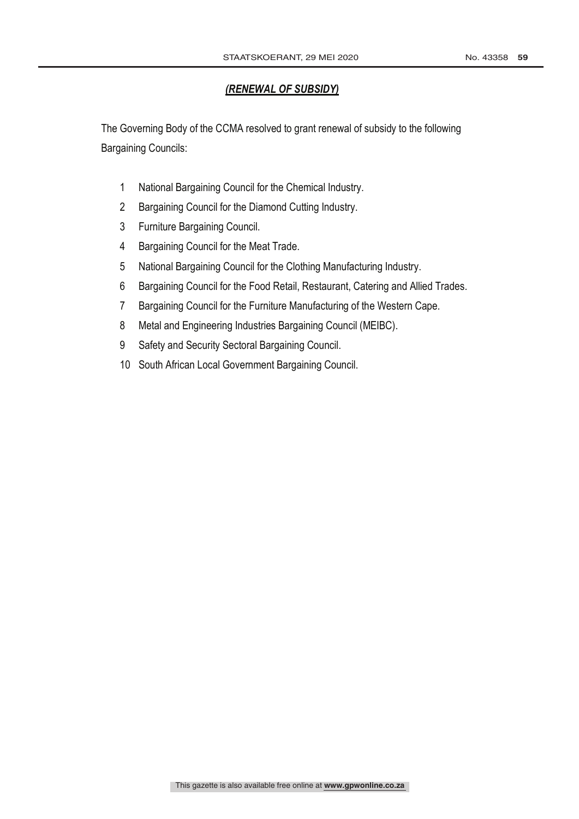# *(RENEWAL OF SUBSIDY)*

The Governing Body of the CCMA resolved to grant renewal of subsidy to the following Bargaining Councils:

- National Bargaining Council for the Chemical Industry.
- Bargaining Council for the Diamond Cutting Industry.
- Furniture Bargaining Council.
- Bargaining Council for the Meat Trade.
- National Bargaining Council for the Clothing Manufacturing Industry.
- Bargaining Council for the Food Retail, Restaurant, Catering and Allied Trades.
- Bargaining Council for the Furniture Manufacturing of the Western Cape.
- Metal and Engineering Industries Bargaining Council (MEIBC).
- Safety and Security Sectoral Bargaining Council.
- South African Local Government Bargaining Council.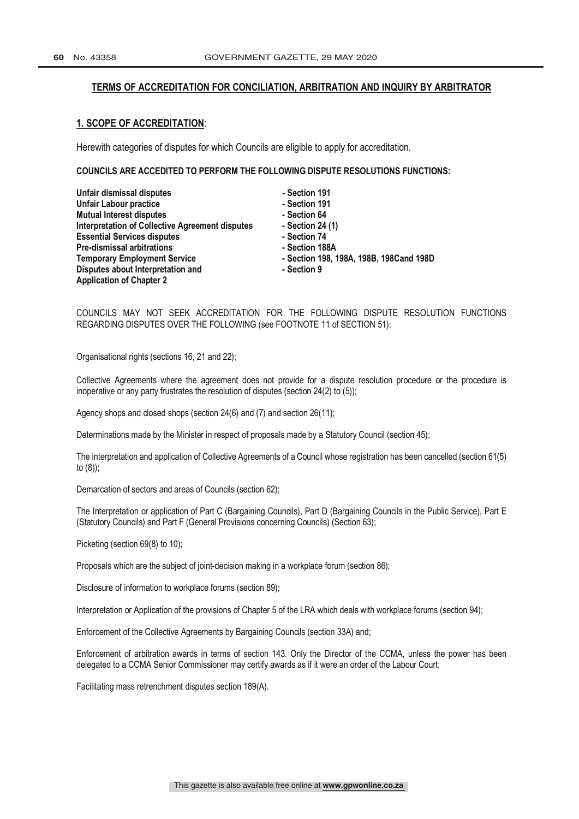#### **TERMS OF ACCREDITATION FOR CONCILIATION, ARBITRATION AND INQUIRY BY ARBITRATOR**

#### **1. SCOPE OF ACCREDITATION**:

Herewith categories of disputes for which Councils are eligible to apply for accreditation.

**COUNCILS ARE ACCEDITED TO PERFORM THE FOLLOWING DISPUTE RESOLUTIONS FUNCTIONS:**

| Unfair dismissal disputes                              | - Section 191                           |
|--------------------------------------------------------|-----------------------------------------|
| <b>Unfair Labour practice</b>                          | - Section 191                           |
| <b>Mutual Interest disputes</b>                        | - Section 64                            |
| <b>Interpretation of Collective Agreement disputes</b> | - Section 24 $(1)$                      |
| <b>Essential Services disputes</b>                     | - Section 74                            |
| <b>Pre-dismissal arbitrations</b>                      | - Section 188A                          |
| <b>Temporary Employment Service</b>                    | - Section 198, 198A, 198B, 198Cand 198D |
| Disputes about Interpretation and                      | - Section 9                             |
| <b>Application of Chapter 2</b>                        |                                         |

COUNCILS MAY NOT SEEK ACCREDITATION FOR THE FOLLOWING DISPUTE RESOLUTION FUNCTIONS REGARDING DISPUTES OVER THE FOLLOWING (see FOOTNOTE 11 of SECTION 51):

Organisational rights (sections 16, 21 and 22);

Collective Agreements where the agreement does not provide for a dispute resolution procedure or the procedure is inoperative or any party frustrates the resolution of disputes (section 24(2) to (5));

Agency shops and closed shops (section 24(6) and (7) and section 26(11);

Determinations made by the Minister in respect of proposals made by a Statutory Council (section 45);

The interpretation and application of Collective Agreements of a Council whose registration has been cancelled (section 61(5) to (8));

Demarcation of sectors and areas of Councils (section 62);

The Interpretation or application of Part C (Bargaining Councils), Part D (Bargaining Councils in the Public Service), Part E (Statutory Councils) and Part F (General Provisions concerning Councils) (Section 63);

Picketing (section 69(8) to 10);

Proposals which are the subject of joint-decision making in a workplace forum (section 86);

Disclosure of information to workplace forums (section 89);

Interpretation or Application of the provisions of Chapter 5 of the LRA which deals with workplace forums (section 94);

Enforcement of the Collective Agreements by Bargaining Councils (section 33A) and;

Enforcement of arbitration awards in terms of section 143. Only the Director of the CCMA, unless the power has been delegated to a CCMA Senior Commissioner may certify awards as if it were an order of the Labour Court;

Facilitating mass retrenchment disputes section 189(A).